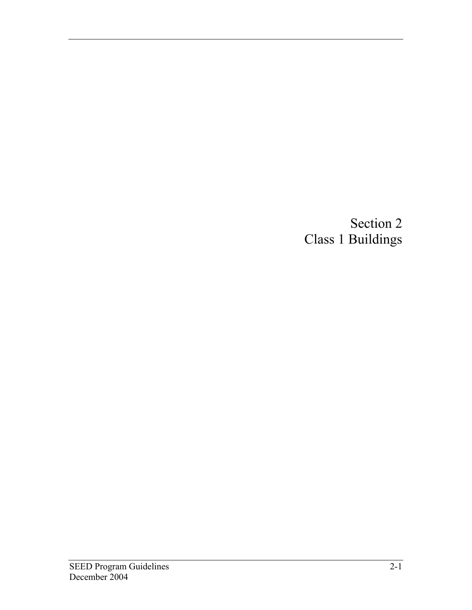Section 2 Class 1 Buildings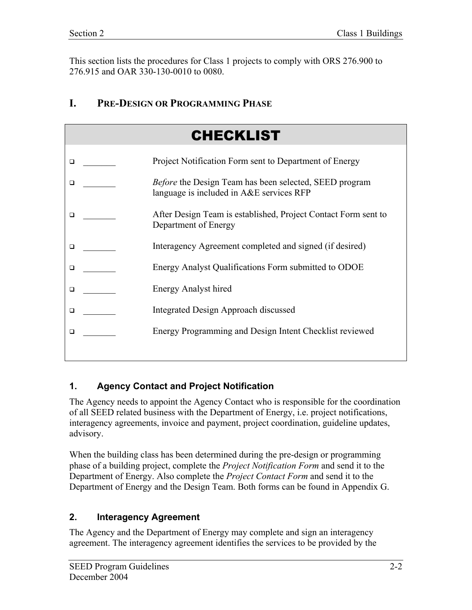This section lists the procedures for Class 1 projects to comply with ORS 276.900 to 276.915 and OAR 330-130-0010 to 0080.

## **I. PRE-DESIGN OR PROGRAMMING PHASE**

|        | <b>CHECKLIST</b>                                                                                          |
|--------|-----------------------------------------------------------------------------------------------------------|
| □      | Project Notification Form sent to Department of Energy                                                    |
| □      | <i>Before</i> the Design Team has been selected, SEED program<br>language is included in A&E services RFP |
| $\Box$ | After Design Team is established, Project Contact Form sent to<br>Department of Energy                    |
| $\Box$ | Interagency Agreement completed and signed (if desired)                                                   |
| □      | Energy Analyst Qualifications Form submitted to ODOE                                                      |
| $\Box$ | <b>Energy Analyst hired</b>                                                                               |
| □      | Integrated Design Approach discussed                                                                      |
| □      | Energy Programming and Design Intent Checklist reviewed                                                   |

### **1. Agency Contact and Project Notification**

The Agency needs to appoint the Agency Contact who is responsible for the coordination of all SEED related business with the Department of Energy, i.e. project notifications, interagency agreements, invoice and payment, project coordination, guideline updates, advisory.

When the building class has been determined during the pre-design or programming phase of a building project, complete the *Project Notification Form* and send it to the Department of Energy. Also complete the *Project Contact Form* and send it to the Department of Energy and the Design Team. Both forms can be found in Appendix G.

### **2. Interagency Agreement**

The Agency and the Department of Energy may complete and sign an interagency agreement. The interagency agreement identifies the services to be provided by the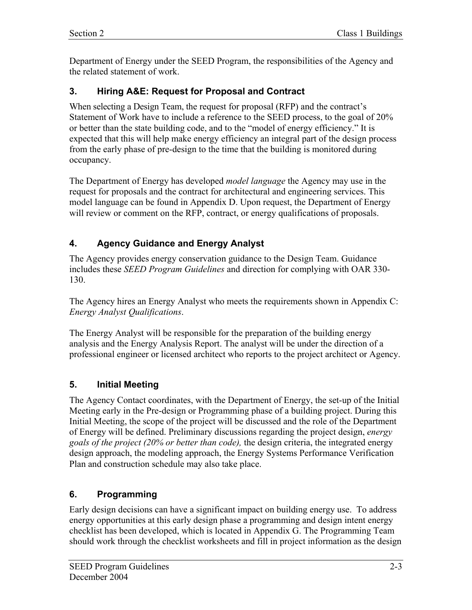Department of Energy under the SEED Program, the responsibilities of the Agency and the related statement of work.

### **3. Hiring A&E: Request for Proposal and Contract**

When selecting a Design Team, the request for proposal (RFP) and the contract's Statement of Work have to include a reference to the SEED process, to the goal of 20% or better than the state building code, and to the "model of energy efficiency." It is expected that this will help make energy efficiency an integral part of the design process from the early phase of pre-design to the time that the building is monitored during occupancy.

The Department of Energy has developed *model language* the Agency may use in the request for proposals and the contract for architectural and engineering services. This model language can be found in Appendix D. Upon request, the Department of Energy will review or comment on the RFP, contract, or energy qualifications of proposals.

## **4. Agency Guidance and Energy Analyst**

The Agency provides energy conservation guidance to the Design Team. Guidance includes these *SEED Program Guidelines* and direction for complying with OAR 330- 130.

The Agency hires an Energy Analyst who meets the requirements shown in Appendix C: *Energy Analyst Qualifications*.

The Energy Analyst will be responsible for the preparation of the building energy analysis and the Energy Analysis Report. The analyst will be under the direction of a professional engineer or licensed architect who reports to the project architect or Agency.

### **5. Initial Meeting**

The Agency Contact coordinates, with the Department of Energy, the set-up of the Initial Meeting early in the Pre-design or Programming phase of a building project. During this Initial Meeting, the scope of the project will be discussed and the role of the Department of Energy will be defined. Preliminary discussions regarding the project design, *energy goals of the project (20% or better than code),* the design criteria, the integrated energy design approach, the modeling approach, the Energy Systems Performance Verification Plan and construction schedule may also take place.

### **6. Programming**

Early design decisions can have a significant impact on building energy use. To address energy opportunities at this early design phase a programming and design intent energy checklist has been developed, which is located in Appendix G. The Programming Team should work through the checklist worksheets and fill in project information as the design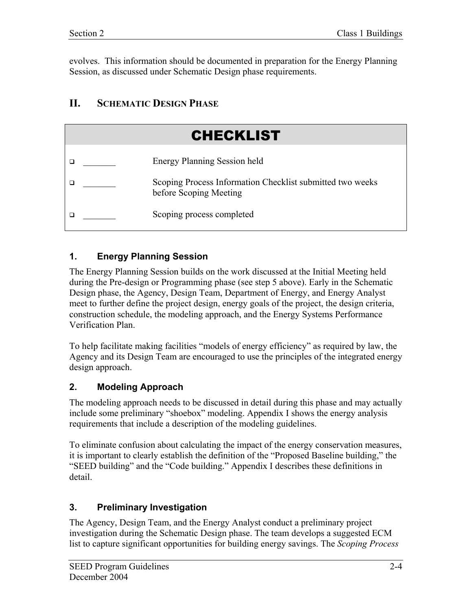evolves. This information should be documented in preparation for the Energy Planning Session, as discussed under Schematic Design phase requirements.

# **II. SCHEMATIC DESIGN PHASE**

| <b>CHECKLIST</b>                                                                    |
|-------------------------------------------------------------------------------------|
| <b>Energy Planning Session held</b>                                                 |
| Scoping Process Information Checklist submitted two weeks<br>before Scoping Meeting |
| Scoping process completed                                                           |

## **1. Energy Planning Session**

The Energy Planning Session builds on the work discussed at the Initial Meeting held during the Pre-design or Programming phase (see step 5 above). Early in the Schematic Design phase, the Agency, Design Team, Department of Energy, and Energy Analyst meet to further define the project design, energy goals of the project, the design criteria, construction schedule, the modeling approach, and the Energy Systems Performance Verification Plan.

To help facilitate making facilities "models of energy efficiency" as required by law, the Agency and its Design Team are encouraged to use the principles of the integrated energy design approach.

# **2. Modeling Approach**

The modeling approach needs to be discussed in detail during this phase and may actually include some preliminary "shoebox" modeling. Appendix I shows the energy analysis requirements that include a description of the modeling guidelines.

To eliminate confusion about calculating the impact of the energy conservation measures, it is important to clearly establish the definition of the "Proposed Baseline building," the "SEED building" and the "Code building." Appendix I describes these definitions in detail.

# **3. Preliminary Investigation**

The Agency, Design Team, and the Energy Analyst conduct a preliminary project investigation during the Schematic Design phase. The team develops a suggested ECM list to capture significant opportunities for building energy savings. The *Scoping Process*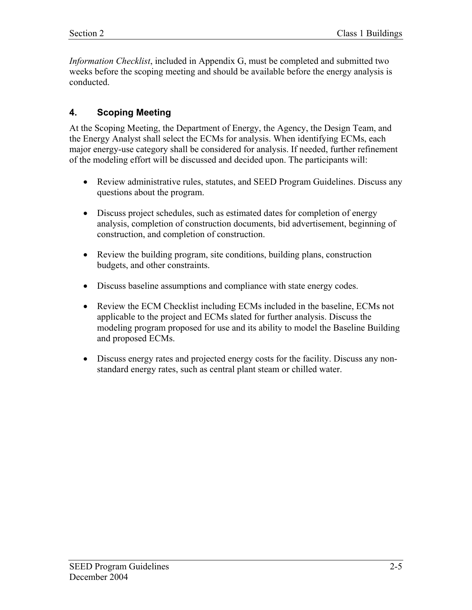*Information Checklist*, included in Appendix G, must be completed and submitted two weeks before the scoping meeting and should be available before the energy analysis is conducted.

### **4. Scoping Meeting**

At the Scoping Meeting, the Department of Energy, the Agency, the Design Team, and the Energy Analyst shall select the ECMs for analysis. When identifying ECMs, each major energy-use category shall be considered for analysis. If needed, further refinement of the modeling effort will be discussed and decided upon. The participants will:

- Review administrative rules, statutes, and SEED Program Guidelines. Discuss any questions about the program.
- Discuss project schedules, such as estimated dates for completion of energy analysis, completion of construction documents, bid advertisement, beginning of construction, and completion of construction.
- Review the building program, site conditions, building plans, construction budgets, and other constraints.
- Discuss baseline assumptions and compliance with state energy codes.
- Review the ECM Checklist including ECMs included in the baseline, ECMs not applicable to the project and ECMs slated for further analysis. Discuss the modeling program proposed for use and its ability to model the Baseline Building and proposed ECMs.
- Discuss energy rates and projected energy costs for the facility. Discuss any nonstandard energy rates, such as central plant steam or chilled water.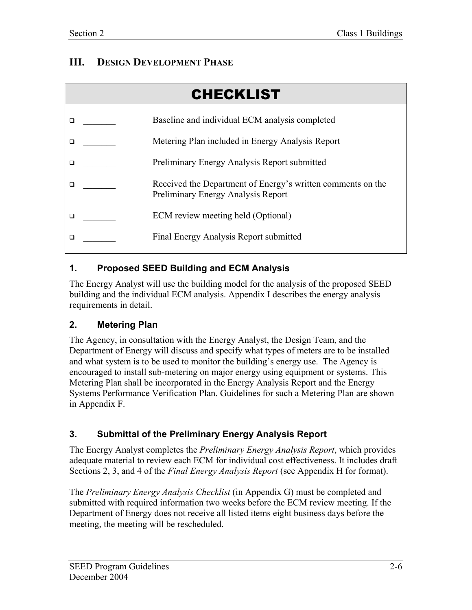# **III. DESIGN DEVELOPMENT PHASE**

| <b>CHECKLIST</b> |  |                                                                                                   |  |  |
|------------------|--|---------------------------------------------------------------------------------------------------|--|--|
|                  |  | Baseline and individual ECM analysis completed                                                    |  |  |
|                  |  | Metering Plan included in Energy Analysis Report                                                  |  |  |
|                  |  | Preliminary Energy Analysis Report submitted                                                      |  |  |
|                  |  | Received the Department of Energy's written comments on the<br>Preliminary Energy Analysis Report |  |  |
|                  |  | ECM review meeting held (Optional)                                                                |  |  |
|                  |  | Final Energy Analysis Report submitted                                                            |  |  |
|                  |  |                                                                                                   |  |  |

# **1. Proposed SEED Building and ECM Analysis**

The Energy Analyst will use the building model for the analysis of the proposed SEED building and the individual ECM analysis. Appendix I describes the energy analysis requirements in detail.

# **2. Metering Plan**

The Agency, in consultation with the Energy Analyst, the Design Team, and the Department of Energy will discuss and specify what types of meters are to be installed and what system is to be used to monitor the building's energy use. The Agency is encouraged to install sub-metering on major energy using equipment or systems. This Metering Plan shall be incorporated in the Energy Analysis Report and the Energy Systems Performance Verification Plan. Guidelines for such a Metering Plan are shown in Appendix F.

# **3. Submittal of the Preliminary Energy Analysis Report**

The Energy Analyst completes the *Preliminary Energy Analysis Report*, which provides adequate material to review each ECM for individual cost effectiveness. It includes draft Sections 2, 3, and 4 of the *Final Energy Analysis Report* (see Appendix H for format).

The *Preliminary Energy Analysis Checklist* (in Appendix G) must be completed and submitted with required information two weeks before the ECM review meeting. If the Department of Energy does not receive all listed items eight business days before the meeting, the meeting will be rescheduled.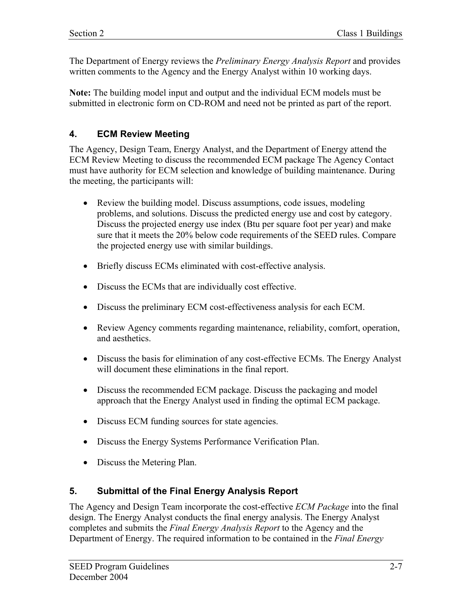The Department of Energy reviews the *Preliminary Energy Analysis Report* and provides written comments to the Agency and the Energy Analyst within 10 working days.

**Note:** The building model input and output and the individual ECM models must be submitted in electronic form on CD-ROM and need not be printed as part of the report.

### **4. ECM Review Meeting**

The Agency, Design Team, Energy Analyst, and the Department of Energy attend the ECM Review Meeting to discuss the recommended ECM package The Agency Contact must have authority for ECM selection and knowledge of building maintenance. During the meeting, the participants will:

- Review the building model. Discuss assumptions, code issues, modeling problems, and solutions. Discuss the predicted energy use and cost by category. Discuss the projected energy use index (Btu per square foot per year) and make sure that it meets the 20% below code requirements of the SEED rules. Compare the projected energy use with similar buildings.
- Briefly discuss ECMs eliminated with cost-effective analysis.
- Discuss the ECMs that are individually cost effective.
- Discuss the preliminary ECM cost-effectiveness analysis for each ECM.
- Review Agency comments regarding maintenance, reliability, comfort, operation, and aesthetics.
- Discuss the basis for elimination of any cost-effective ECMs. The Energy Analyst will document these eliminations in the final report.
- Discuss the recommended ECM package. Discuss the packaging and model approach that the Energy Analyst used in finding the optimal ECM package.
- Discuss ECM funding sources for state agencies.
- Discuss the Energy Systems Performance Verification Plan.
- Discuss the Metering Plan.

### **5. Submittal of the Final Energy Analysis Report**

The Agency and Design Team incorporate the cost-effective *ECM Package* into the final design. The Energy Analyst conducts the final energy analysis. The Energy Analyst completes and submits the *Final Energy Analysis Report* to the Agency and the Department of Energy. The required information to be contained in the *Final Energy*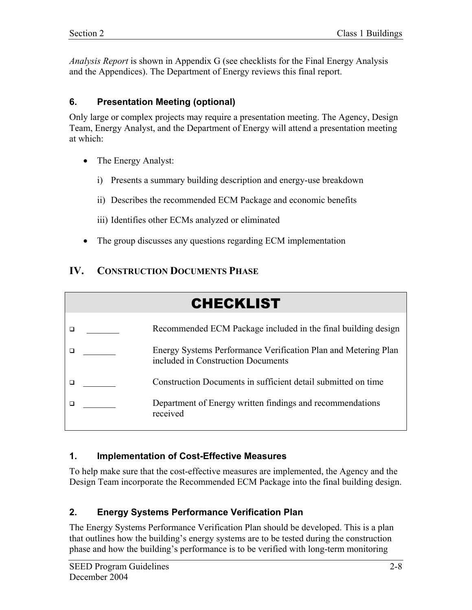*Analysis Report* is shown in Appendix G (see checklists for the Final Energy Analysis and the Appendices). The Department of Energy reviews this final report.

#### **6. Presentation Meeting (optional)**

Only large or complex projects may require a presentation meeting. The Agency, Design Team, Energy Analyst, and the Department of Energy will attend a presentation meeting at which:

- The Energy Analyst:
	- i) Presents a summary building description and energy-use breakdown
	- ii) Describes the recommended ECM Package and economic benefits
	- iii) Identifies other ECMs analyzed or eliminated
- The group discusses any questions regarding ECM implementation

### **IV. CONSTRUCTION DOCUMENTS PHASE**

| <b>CHECKLIST</b> |  |                                                                                                      |  |  |
|------------------|--|------------------------------------------------------------------------------------------------------|--|--|
|                  |  | Recommended ECM Package included in the final building design                                        |  |  |
|                  |  |                                                                                                      |  |  |
|                  |  | Energy Systems Performance Verification Plan and Metering Plan<br>included in Construction Documents |  |  |
|                  |  | Construction Documents in sufficient detail submitted on time                                        |  |  |
|                  |  | Department of Energy written findings and recommendations<br>received                                |  |  |

#### **1. Implementation of Cost-Effective Measures**

To help make sure that the cost-effective measures are implemented, the Agency and the Design Team incorporate the Recommended ECM Package into the final building design.

### **2. Energy Systems Performance Verification Plan**

The Energy Systems Performance Verification Plan should be developed. This is a plan that outlines how the building's energy systems are to be tested during the construction phase and how the building's performance is to be verified with long-term monitoring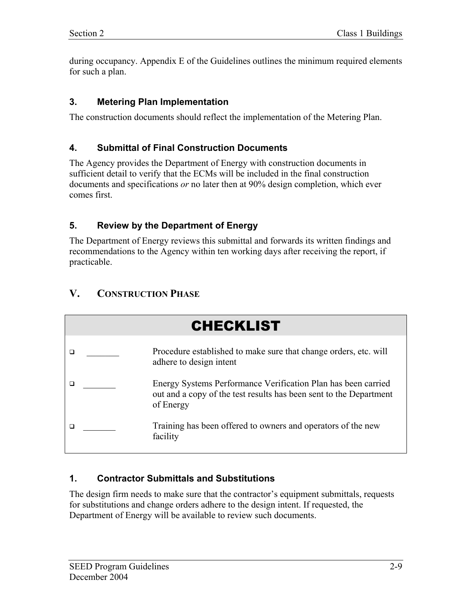during occupancy. Appendix E of the Guidelines outlines the minimum required elements for such a plan.

### **3. Metering Plan Implementation**

The construction documents should reflect the implementation of the Metering Plan.

### **4. Submittal of Final Construction Documents**

The Agency provides the Department of Energy with construction documents in sufficient detail to verify that the ECMs will be included in the final construction documents and specifications *or* no later then at 90% design completion, which ever comes first.

### **5. Review by the Department of Energy**

The Department of Energy reviews this submittal and forwards its written findings and recommendations to the Agency within ten working days after receiving the report, if practicable.

# **V. CONSTRUCTION PHASE**



### **1. Contractor Submittals and Substitutions**

The design firm needs to make sure that the contractor's equipment submittals, requests for substitutions and change orders adhere to the design intent. If requested, the Department of Energy will be available to review such documents.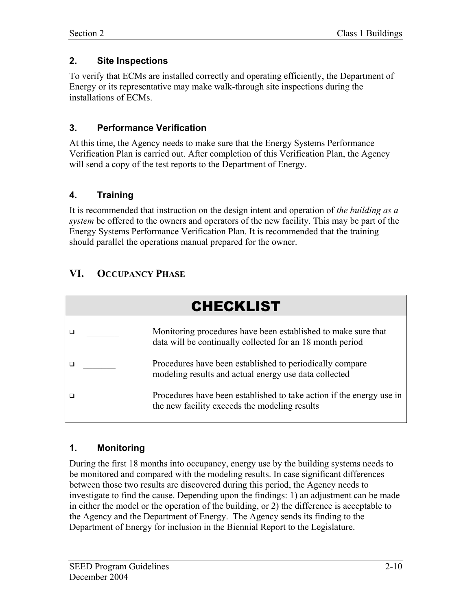### **2. Site Inspections**

To verify that ECMs are installed correctly and operating efficiently, the Department of Energy or its representative may make walk-through site inspections during the installations of ECMs.

### **3. Performance Verification**

At this time, the Agency needs to make sure that the Energy Systems Performance Verification Plan is carried out. After completion of this Verification Plan, the Agency will send a copy of the test reports to the Department of Energy.

# **4. Training**

It is recommended that instruction on the design intent and operation of *the building as a system* be offered to the owners and operators of the new facility. This may be part of the Energy Systems Performance Verification Plan. It is recommended that the training should parallel the operations manual prepared for the owner.

# **VI. OCCUPANCY PHASE**



# **1. Monitoring**

During the first 18 months into occupancy, energy use by the building systems needs to be monitored and compared with the modeling results. In case significant differences between those two results are discovered during this period, the Agency needs to investigate to find the cause. Depending upon the findings: 1) an adjustment can be made in either the model or the operation of the building, or 2) the difference is acceptable to the Agency and the Department of Energy. The Agency sends its finding to the Department of Energy for inclusion in the Biennial Report to the Legislature.